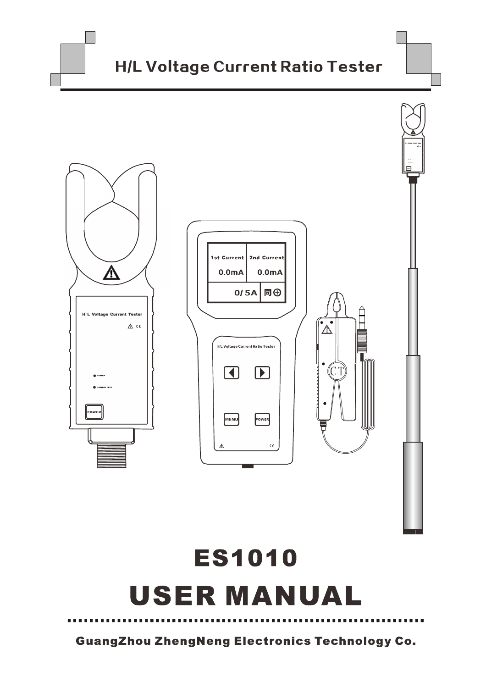

**GuangZhou ZhengNeng Electronics Technology Co.**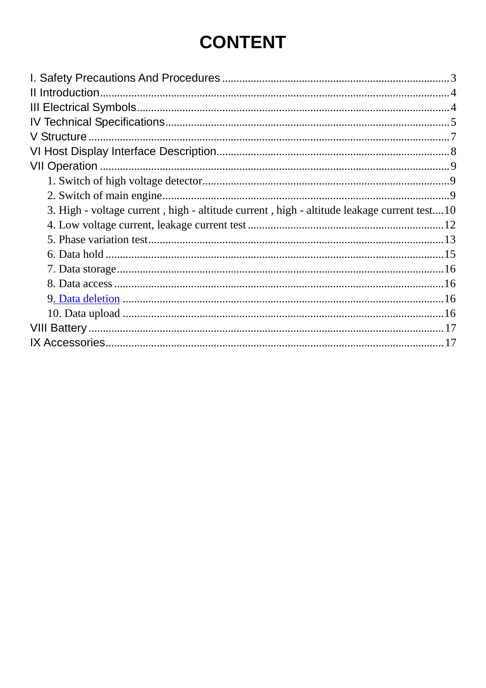# **CONTENT**

| V Structure                                                                                |  |
|--------------------------------------------------------------------------------------------|--|
|                                                                                            |  |
|                                                                                            |  |
|                                                                                            |  |
|                                                                                            |  |
| 3. High - voltage current, high - altitude current, high - altitude leakage current test10 |  |
|                                                                                            |  |
|                                                                                            |  |
|                                                                                            |  |
|                                                                                            |  |
|                                                                                            |  |
|                                                                                            |  |
|                                                                                            |  |
|                                                                                            |  |
|                                                                                            |  |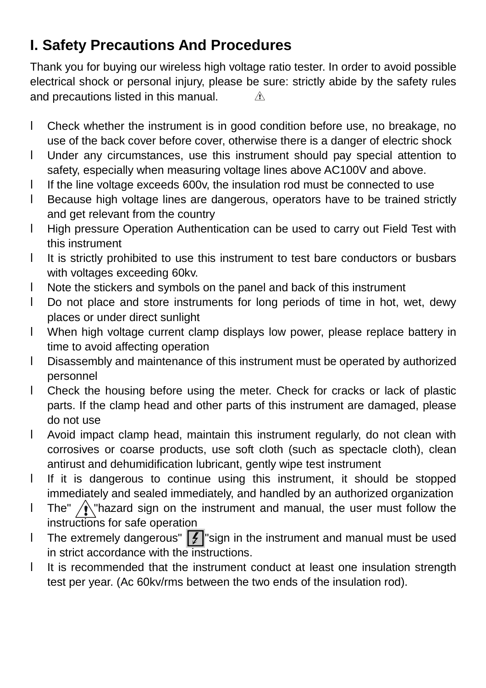## **I. Safety Precautions And Procedures**

Thank you for buying our wireless high voltage ratio tester. In order to avoid possible electrical shock or personal injury, please be sure: strictly abide by the safety rules and precautions listed in this manual.  $\mathbb{A}$ 

- l Check whether the instrument is in good condition before use, no breakage, no use of the back cover before cover, otherwise there is a danger of electric shock
- l Under any circumstances, use this instrument should pay special attention to safety, especially when measuring voltage lines above AC100V and above.
- l If the line voltage exceeds 600v, the insulation rod must be connected to use
- l Because high voltage lines are dangerous, operators have to be trained strictly and get relevant from the country
- l High pressure Operation Authentication can be used to carry out Field Test with this instrument
- l It is strictly prohibited to use this instrument to test bare conductors or busbars with voltages exceeding 60kv.
- l Note the stickers and symbols on the panel and back of this instrument
- l Do not place and store instruments for long periods of time in hot, wet, dewy places or under direct sunlight
- l When high voltage current clamp displays low power, please replace battery in time to avoid affecting operation
- l Disassembly and maintenance of this instrument must be operated by authorized personnel
- l Check the housing before using the meter. Check for cracks or lack of plastic parts. If the clamp head and other parts of this instrument are damaged, please do not use
- l Avoid impact clamp head, maintain this instrument regularly, do not clean with corrosives or coarse products, use soft cloth (such as spectacle cloth), clean antirust and dehumidification lubricant, gently wipe test instrument
- l If it is dangerous to continue using this instrument, it should be stopped immediately and sealed immediately, and handled by an authorized organization
- I The"  $\sqrt{N}$ "hazard sign on the instrument and manual, the user must follow the instructions for safe operation
- **I** The extremely dangerous"  $\sqrt{2}$  sign in the instrument and manual must be used in strict accordance with the instructions.
- l It is recommended that the instrument conduct at least one insulation strength test per year. (Ac 60kv/rms between the two ends of the insulation rod).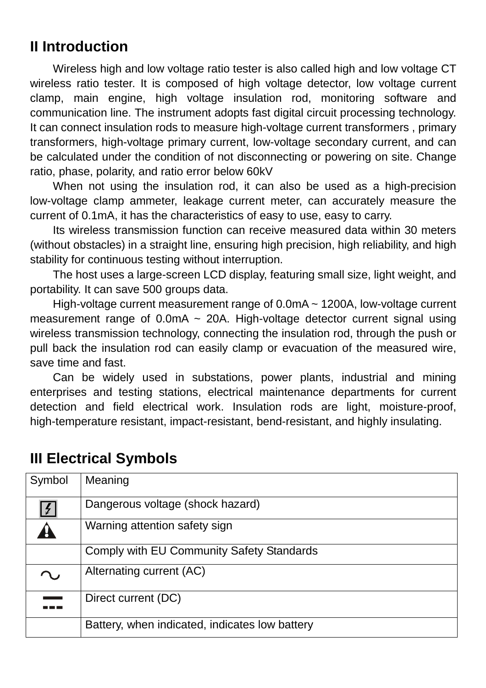## **II Introduction**

Wireless high and low voltage ratio tester is also called high and low voltage CT wireless ratio tester. It is composed of high voltage detector, low voltage current clamp, main engine, high voltage insulation rod, monitoring software and communication line. The instrument adopts fast digital circuit processing technology. It can connect insulation rods to measure high-voltage current transformers , primary transformers, high-voltage primary current, low-voltage secondary current, and can be calculated under the condition of not disconnecting or powering on site. Change ratio, phase, polarity, and ratio error below 60kV

When not using the insulation rod, it can also be used as a high-precision low-voltage clamp ammeter, leakage current meter, can accurately measure the current of 0.1mA, it has the characteristics of easy to use, easy to carry.

Its wireless transmission function can receive measured data within 30 meters (without obstacles) in a straight line, ensuring high precision, high reliability, and high stability for continuous testing without interruption.

The host uses a large-screen LCD display, featuring small size, light weight, and portability. It can save 500 groups data.

High-voltage current measurement range of 0.0mA ~ 1200A, low-voltage current measurement range of  $0.0 \text{mA} \sim 20 \text{A}$ . High-voltage detector current signal using wireless transmission technology, connecting the insulation rod, through the push or pull back the insulation rod can easily clamp or evacuation of the measured wire, save time and fast.

Can be widely used in substations, power plants, industrial and mining enterprises and testing stations, electrical maintenance departments for current detection and field electrical work. Insulation rods are light, moisture-proof, high-temperature resistant, impact-resistant, bend-resistant, and highly insulating.

| Symbol               | Meaning                                        |
|----------------------|------------------------------------------------|
| $\mathcal{L}$        | Dangerous voltage (shock hazard)               |
|                      | Warning attention safety sign                  |
|                      | Comply with EU Community Safety Standards      |
|                      | Alternating current (AC)                       |
| and the state of the | Direct current (DC)                            |
|                      | Battery, when indicated, indicates low battery |

### **III Electrical Symbols**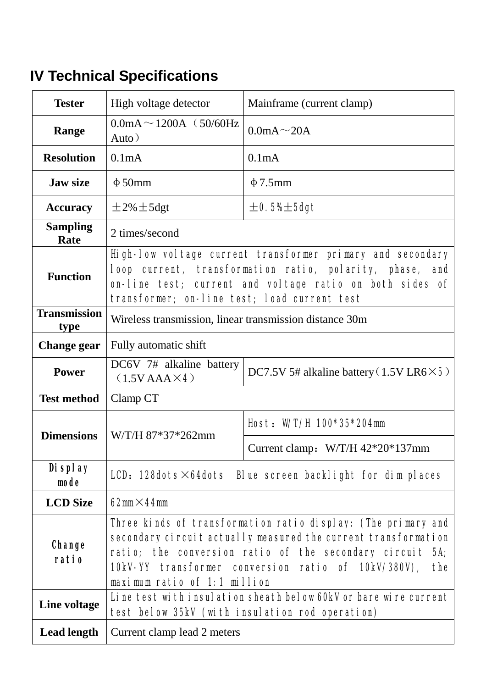# **IV Technical Specifications**

| High voltage detector<br><b>Tester</b>            |                                                                                                                                                                                                                                                                                           | Mainframe (current clamp)          |  |
|---------------------------------------------------|-------------------------------------------------------------------------------------------------------------------------------------------------------------------------------------------------------------------------------------------------------------------------------------------|------------------------------------|--|
| $0.0mA \sim 1200A$ (50/60Hz)<br>Range<br>Auto $)$ |                                                                                                                                                                                                                                                                                           | $0.0mA \sim 20A$                   |  |
| <b>Resolution</b>                                 | 0.1 <sub>m</sub> A                                                                                                                                                                                                                                                                        | 0.1 <sub>m</sub> A                 |  |
| <b>Jaw size</b>                                   | $\Phi$ 50mm                                                                                                                                                                                                                                                                               | $\Phi$ 7.5mm                       |  |
| $\pm 2\% \pm 5$ dgt<br><b>Accuracy</b>            |                                                                                                                                                                                                                                                                                           | $\pm$ 0.5% $\pm$ 5dgt              |  |
| <b>Sampling</b><br>Rate                           | 2 times/second                                                                                                                                                                                                                                                                            |                                    |  |
| <b>Function</b>                                   | High-low voltage current transformer primary and secondary<br>loop current, transformation ratio, polarity, phase, and<br>on-line test; current and voltage ratio on both sides of<br>transformer; on-line test; load current test                                                        |                                    |  |
| <b>Transmission</b><br>type                       | Wireless transmission, linear transmission distance 30m                                                                                                                                                                                                                                   |                                    |  |
| <b>Change gear</b>                                | Fully automatic shift                                                                                                                                                                                                                                                                     |                                    |  |
| <b>Power</b>                                      | DC6V 7# alkaline battery<br>DC7.5V 5# alkaline battery $(1.5VLR6\times5)$<br>$(1.5VAAA\times4)$                                                                                                                                                                                           |                                    |  |
| <b>Test method</b>                                | Clamp CT                                                                                                                                                                                                                                                                                  |                                    |  |
|                                                   |                                                                                                                                                                                                                                                                                           | Host: W/T/H 100*35*204mm           |  |
| <b>Dimensions</b>                                 | W/T/H 87*37*262mm                                                                                                                                                                                                                                                                         | Current clamp: $W/T/H$ 42*20*137mm |  |
| <b>Display</b><br>mode                            | LCD: 128dots $\times$ 64dots Blue screen backlight for dim places                                                                                                                                                                                                                         |                                    |  |
| <b>LCD</b> Size                                   | 62mm $\times$ 44mm                                                                                                                                                                                                                                                                        |                                    |  |
| <b>Change</b><br>ratio                            | Three kinds of transformation ratio display: (The primary and<br>secondary circuit actually measured the current transformation<br>ratio; the conversion ratio of the secondary circuit 5A;<br>10kV-YY transformer conversion ratio of 10kV/380V),<br>the<br>maximum ratio of 1:1 million |                                    |  |
| Line voltage                                      | Line test with insulation sheath below 60kV or bare wire current<br>test below 35kV (with insulation rod operation)                                                                                                                                                                       |                                    |  |
| <b>Lead length</b>                                | Current clamp lead 2 meters                                                                                                                                                                                                                                                               |                                    |  |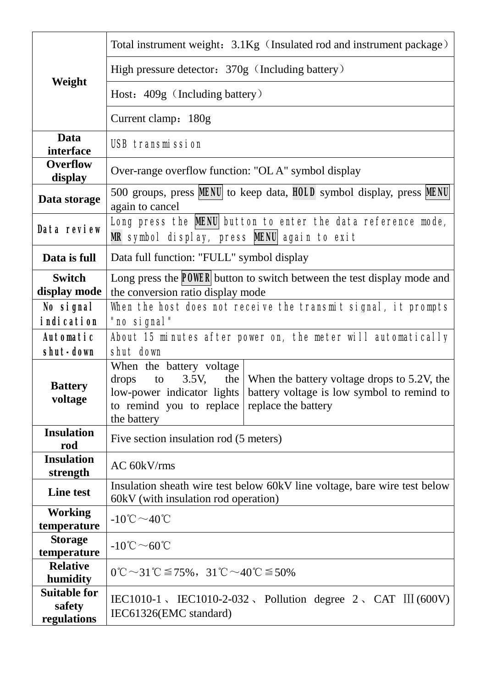|                                                    | Total instrument weight: 3.1Kg (Insulated rod and instrument package)                                                                                                                                                                    |  |  |
|----------------------------------------------------|------------------------------------------------------------------------------------------------------------------------------------------------------------------------------------------------------------------------------------------|--|--|
|                                                    | High pressure detector: 370g (Including battery)                                                                                                                                                                                         |  |  |
| Weight                                             | Host: 409g (Including battery)                                                                                                                                                                                                           |  |  |
|                                                    | Current clamp: 180g                                                                                                                                                                                                                      |  |  |
| Data<br>interface                                  | <b>USB transmission</b>                                                                                                                                                                                                                  |  |  |
| <b>Overflow</b><br>display                         | Over-range overflow function: "OLA" symbol display                                                                                                                                                                                       |  |  |
| Data storage                                       | 500 groups, press <b>MENU</b> to keep data, HOLD symbol display, press MENU<br>again to cancel                                                                                                                                           |  |  |
| Data review                                        | Long press the MENU button to enter the data reference mode,<br>MR symbol display, press MENU again to exit                                                                                                                              |  |  |
| Data is full                                       | Data full function: "FULL" symbol display                                                                                                                                                                                                |  |  |
| <b>Switch</b>                                      | Long press the <b>POWER</b> button to switch between the test display mode and                                                                                                                                                           |  |  |
| display mode                                       | the conversion ratio display mode                                                                                                                                                                                                        |  |  |
| No signal                                          | When the host does not receive the transmit signal, it prompts                                                                                                                                                                           |  |  |
| <i>i</i> ndication                                 | "no signal"                                                                                                                                                                                                                              |  |  |
| Automatic                                          | About 15 minutes after power on, the meter will automatically                                                                                                                                                                            |  |  |
| shut-down                                          | shut down                                                                                                                                                                                                                                |  |  |
| <b>Battery</b><br>voltage                          | When the battery voltage<br>3.5V, the When the battery voltage drops to 5.2V, the<br>drops<br>to<br>low-power indicator lights battery voltage is low symbol to remind to<br>to remind you to replace replace the battery<br>the battery |  |  |
| <b>Insulation</b><br>rod                           | Five section insulation rod (5 meters)                                                                                                                                                                                                   |  |  |
| <b>Insulation</b><br>strength                      | $AC 60$ k $V$ /rms                                                                                                                                                                                                                       |  |  |
| <b>Line test</b>                                   | Insulation sheath wire test below 60kV line voltage, bare wire test below                                                                                                                                                                |  |  |
|                                                    | 60kV (with insulation rod operation)                                                                                                                                                                                                     |  |  |
| <b>Working</b><br>temperature                      | $-10^{\circ}\text{C} \sim 40^{\circ}\text{C}$                                                                                                                                                                                            |  |  |
| <b>Storage</b><br>temperature                      | $-10^{\circ}\text{C}$ $\sim$ 60 $^{\circ}\text{C}$                                                                                                                                                                                       |  |  |
| <b>Relative</b><br>humidity<br><b>Suitable for</b> | $0^{\circ}\text{C} \sim 31^{\circ}\text{C} \le 75\%$ , $31^{\circ}\text{C} \sim 40^{\circ}\text{C} \le 50\%$                                                                                                                             |  |  |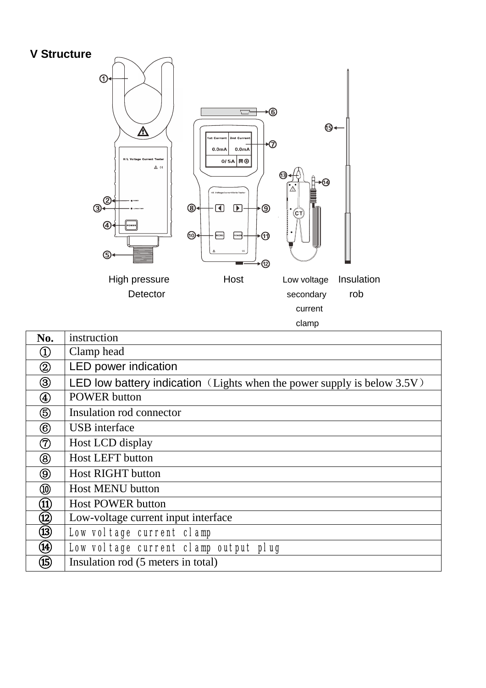#### **V Structure**



| No.                       | instruction                                                                |
|---------------------------|----------------------------------------------------------------------------|
| $\bigcirc$                | Clamp head                                                                 |
| $^\copyright$             | LED power indication                                                       |
| ③                         | LED low battery indication (Lights when the power supply is below $3.5V$ ) |
| $^\text{\textregistered}$ | <b>POWER</b> button                                                        |
| ௫                         | Insulation rod connector                                                   |
| $\circledR$               | USB interface                                                              |
| (7)                       | Host LCD display                                                           |
| $^\circledR$              | <b>Host LEFT button</b>                                                    |
| (9)                       | <b>Host RIGHT button</b>                                                   |
|                           | <b>Host MENU button</b>                                                    |
| $\left( 11\right)$        | <b>Host POWER button</b>                                                   |
| $\left( 12\right)$        | Low-voltage current input interface                                        |
| (13)                      | Low voltage current clamp                                                  |
| (14)                      | Low voltage current clamp output plug                                      |
| (15)                      | Insulation rod (5 meters in total)                                         |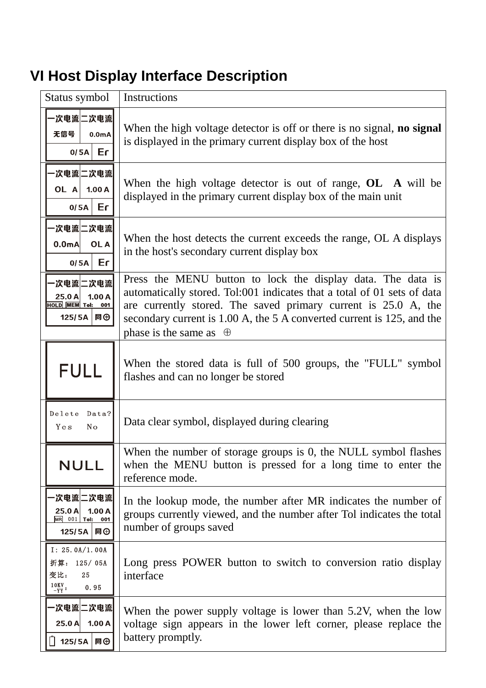# **VI Host Display Interface Description**

| Status symbol                                                            | Instructions                                                                                                                                                                                                                                                                                                        |
|--------------------------------------------------------------------------|---------------------------------------------------------------------------------------------------------------------------------------------------------------------------------------------------------------------------------------------------------------------------------------------------------------------|
| -次电流 二次电流  <br>无信号<br>0.0 <sub>m</sub> A<br>$0/5A$ Er                    | When the high voltage detector is off or there is no signal, no signal<br>is displayed in the primary current display box of the host                                                                                                                                                                               |
| -次电流 二次电流 <br>OL A<br>1.00A<br>Er<br>0/5A                                | When the high voltage detector is out of range, $OL$ A will be<br>displayed in the primary current display box of the main unit                                                                                                                                                                                     |
| -次电流 二次电流 <br>0.0 <sub>m</sub> A<br>OL A<br>Er<br>0/5A                   | When the host detects the current exceeds the range, OL A displays<br>in the host's secondary current display box                                                                                                                                                                                                   |
| -次电流 二次电流 <br>1.00A<br>25.0 A<br>HOLD MEM Tol: 001<br>125/5A 同⊕          | Press the MENU button to lock the display data. The data is<br>automatically stored. Tol:001 indicates that a total of 01 sets of data<br>are currently stored. The saved primary current is 25.0 A, the<br>secondary current is 1.00 A, the 5 A converted current is 125, and the<br>phase is the same as $\oplus$ |
| <b>FULL</b>                                                              | When the stored data is full of 500 groups, the "FULL" symbol<br>flashes and can no longer be stored                                                                                                                                                                                                                |
| Delete<br>Data?<br>Yes<br>No                                             | Data clear symbol, displayed during clearing                                                                                                                                                                                                                                                                        |
| <b>NULL</b>                                                              | When the number of storage groups is 0, the NULL symbol flashes<br>when the MENU button is pressed for a long time to enter the<br>reference mode.                                                                                                                                                                  |
| ·次电流仁次电流<br>$25.0$ A<br>1.00A<br>MR 001 Tol: 001<br>125/5A  同⊕           | In the lookup mode, the number after MR indicates the number of<br>groups currently viewed, and the number after Tol indicates the total<br>number of groups saved                                                                                                                                                  |
| I: 25.0A/1.00A<br>折算: 125/05A<br>变比:<br>25<br>$rac{10KV}{-YY}$ :<br>0.95 | Long press POWER button to switch to conversion ratio display<br>interface                                                                                                                                                                                                                                          |
| -次电流 二次电流 <br>$25.0$ A<br>1.00A<br>125/5A 同⊕                             | When the power supply voltage is lower than 5.2V, when the low<br>voltage sign appears in the lower left corner, please replace the<br>battery promptly.                                                                                                                                                            |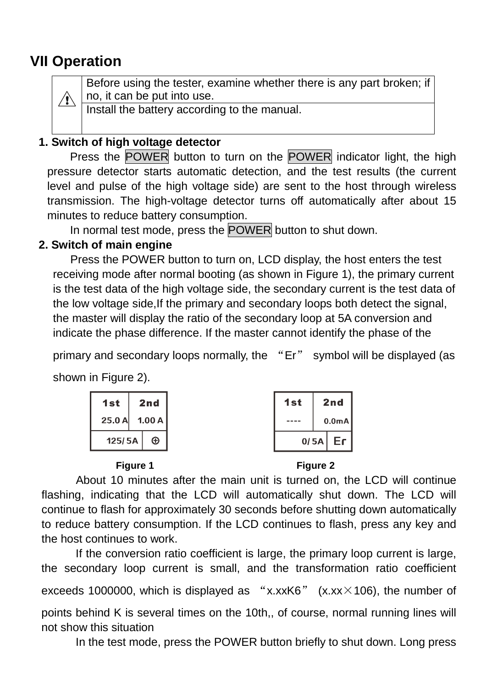## **VII Operation**

 $\sqrt{N}$ 

Before using the tester, examine whether there is any part broken; if no, it can be put into use.

Install the battery according to the manual.

### **1. Switch of high voltage detector**

Press the POWER button to turn on the POWER indicator light, the high pressure detector starts automatic detection, and the test results (the current level and pulse of the high voltage side) are sent to the host through wireless transmission. The high-voltage detector turns off automatically after about 15 minutes to reduce battery consumption.

In normal test mode, press the POWER button to shut down.

#### **2. Switch of main engine**

Press the POWER button to turn on, LCD display, the host enters the test receiving mode after normal booting (as shown in Figure 1), the primary current is the test data of the high voltage side, the secondary current is the test data of the low voltage side,If the primary and secondary loops both detect the signal, the master will display the ratio of the secondary loop at 5A conversion and indicate the phase difference. If the master cannot identify the phase of the

primary and secondary loops normally, the "Er" symbol will be displayed (as shown in Figure 2).





#### **Figure 1 Figure 2**



 About 10 minutes after the main unit is turned on, the LCD will continue flashing, indicating that the LCD will automatically shut down. The LCD will continue to flash for approximately 30 seconds before shutting down automatically to reduce battery consumption. If the LCD continues to flash, press any key and the host continues to work.

If the conversion ratio coefficient is large, the primary loop current is large, the secondary loop current is small, and the transformation ratio coefficient exceeds 1000000, which is displayed as "x.xxK6" (x.xx $\times$ 106), the number of points behind K is several times on the 10th,, of course, normal running lines will not show this situation

In the test mode, press the POWER button briefly to shut down. Long press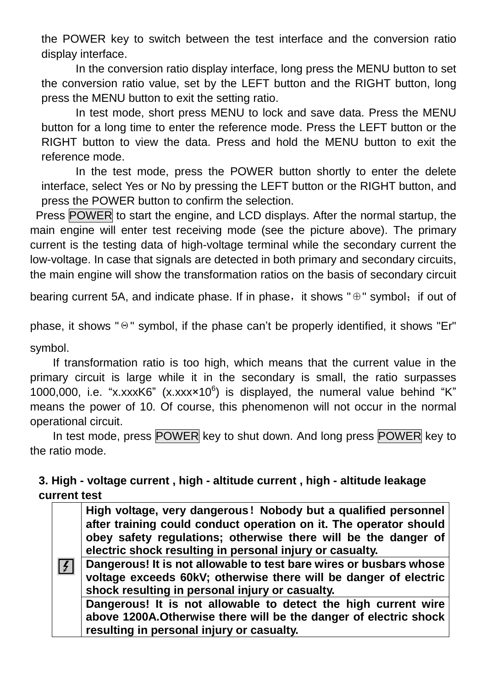the POWER key to switch between the test interface and the conversion ratio display interface.

In the conversion ratio display interface, long press the MENU button to set the conversion ratio value, set by the LEFT button and the RIGHT button, long press the MENU button to exit the setting ratio.

In test mode, short press MENU to lock and save data. Press the MENU button for a long time to enter the reference mode. Press the LEFT button or the RIGHT button to view the data. Press and hold the MENU button to exit the reference mode.

In the test mode, press the POWER button shortly to enter the delete interface, select Yes or No by pressing the LEFT button or the RIGHT button, and press the POWER button to confirm the selection.

Press POWER to start the engine, and LCD displays. After the normal startup, the main engine will enter test receiving mode (see the picture above). The primary current is the testing data of high-voltage terminal while the secondary current the low-voltage. In case that signals are detected in both primary and secondary circuits, the main engine will show the transformation ratios on the basis of secondary circuit

bearing current 5A, and indicate phase. If in phase, it shows " $\oplus$ " symbol; if out of

phase, it shows "Θ" symbol, if the phase can't be properly identified, it shows "Er" symbol.

If transformation ratio is too high, which means that the current value in the primary circuit is large while it in the secondary is small, the ratio surpasses 1000,000, i.e. "x.xxxK6"  $(x.xxx×10<sup>6</sup>)$  is displayed, the numeral value behind "K" means the power of 10. Of course, this phenomenon will not occur in the normal operational circuit.

In test mode, press POWER key to shut down. And long press POWER key to the ratio mode.

#### **3. High - voltage current , high - altitude current , high - altitude leakage current test**

| Z | High voltage, very dangerous! Nobody but a qualified personnel<br>after training could conduct operation on it. The operator should<br>obey safety regulations; otherwise there will be the danger of<br>electric shock resulting in personal injury or casualty.<br>Dangerous! It is not allowable to test bare wires or busbars whose<br>voltage exceeds 60kV; otherwise there will be danger of electric |
|---|-------------------------------------------------------------------------------------------------------------------------------------------------------------------------------------------------------------------------------------------------------------------------------------------------------------------------------------------------------------------------------------------------------------|
|   | shock resulting in personal injury or casualty.                                                                                                                                                                                                                                                                                                                                                             |
|   | Dangerous! It is not allowable to detect the high current wire                                                                                                                                                                                                                                                                                                                                              |
|   | above 1200A. Otherwise there will be the danger of electric shock                                                                                                                                                                                                                                                                                                                                           |
|   | resulting in personal injury or casualty.                                                                                                                                                                                                                                                                                                                                                                   |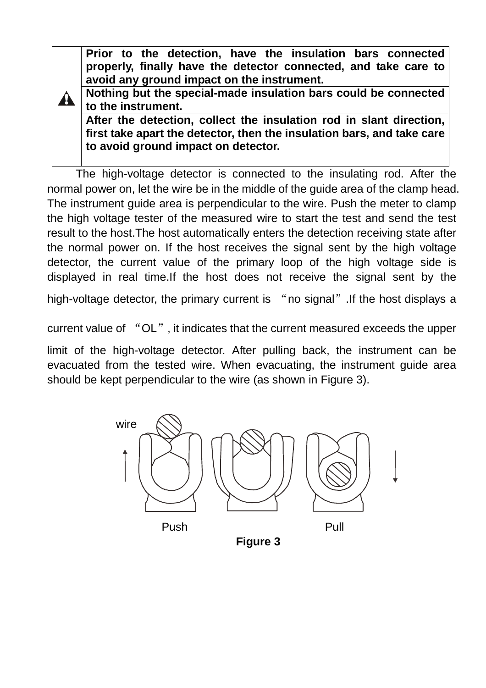**Prior to the detection, have the insulation bars connected properly, finally have the detector connected, and take care to avoid any ground impact on the instrument.** 

**Nothing but the special-made insulation bars could be connected to the instrument.** 

41.

**After the detection, collect the insulation rod in slant direction, first take apart the detector, then the insulation bars, and take care to avoid ground impact on detector.** 

The high-voltage detector is connected to the insulating rod. After the normal power on, let the wire be in the middle of the guide area of the clamp head. The instrument guide area is perpendicular to the wire. Push the meter to clamp the high voltage tester of the measured wire to start the test and send the test result to the host.The host automatically enters the detection receiving state after the normal power on. If the host receives the signal sent by the high voltage detector, the current value of the primary loop of the high voltage side is displayed in real time.If the host does not receive the signal sent by the

high-voltage detector, the primary current is "no signal". If the host displays a

current value of "OL", it indicates that the current measured exceeds the upper

limit of the high-voltage detector. After pulling back, the instrument can be evacuated from the tested wire. When evacuating, the instrument guide area should be kept perpendicular to the wire (as shown in Figure 3).



**Figure 3**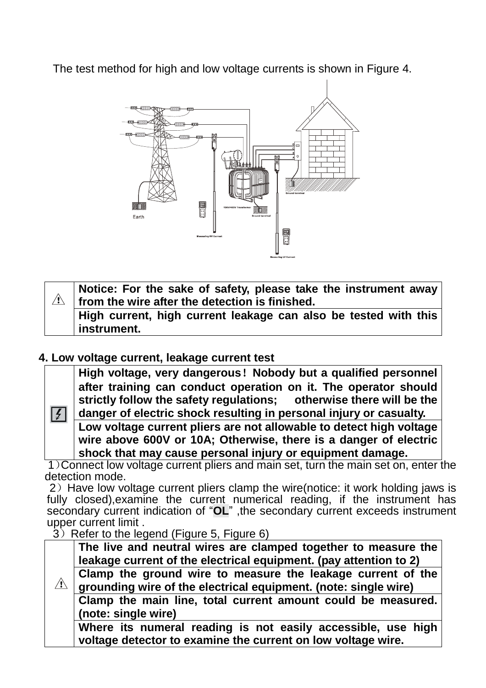The test method for high and low voltage currents is shown in Figure 4.



| Notice: For the sake of safety, please take the instrument away<br>$\vert$ from the wire after the detection is finished. |
|---------------------------------------------------------------------------------------------------------------------------|
| High current, high current leakage can also be tested with this<br>instrument.                                            |

#### **4. Low voltage current, leakage current test**

 $\sqrt{2}$ 

**High voltage, very dangerous!Nobody but a qualified personnel after training can conduct operation on it. The operator should strictly follow the safety regulations; otherwise there will be the danger of electric shock resulting in personal injury or casualty.** 

**Low voltage current pliers are not allowable to detect high voltage wire above 600V or 10A; Otherwise, there is a danger of electric shock that may cause personal injury or equipment damage.** 

1)Connect low voltage current pliers and main set, turn the main set on, enter the detection mode.

2) Have low voltage current pliers clamp the wire(notice: it work holding jaws is fully closed),examine the current numerical reading, if the instrument has secondary current indication of "**OL**" ,the secondary current exceeds instrument upper current limit .

 $3)$  Refer to the legend (Figure 5, Figure 6)

|                     | The live and neutral wires are clamped together to measure the    |  |  |  |
|---------------------|-------------------------------------------------------------------|--|--|--|
|                     | leakage current of the electrical equipment. (pay attention to 2) |  |  |  |
|                     | Clamp the ground wire to measure the leakage current of the       |  |  |  |
| $\sqrt{2}$          | grounding wire of the electrical equipment. (note: single wire)   |  |  |  |
|                     | Clamp the main line, total current amount could be measured.      |  |  |  |
| (note: single wire) |                                                                   |  |  |  |
|                     | Where its numeral reading is not easily accessible, use high      |  |  |  |
|                     | voltage detector to examine the current on low voltage wire.      |  |  |  |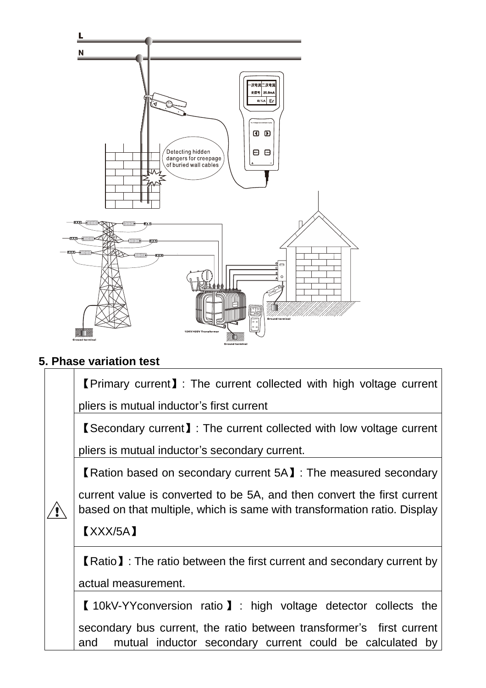

### **5. Phase variation test**

| <b>[Primary current]: The current collected with high voltage current</b>                                                                           |
|-----------------------------------------------------------------------------------------------------------------------------------------------------|
| pliers is mutual inductor's first current                                                                                                           |
| <b>K</b> Secondary current <b>J</b> : The current collected with low voltage current                                                                |
| pliers is mutual inductor's secondary current.                                                                                                      |
| <b>K</b> Ration based on secondary current 5A <b>I</b> : The measured secondary                                                                     |
| current value is converted to be 5A, and then convert the first current<br>based on that multiple, which is same with transformation ratio. Display |
|                                                                                                                                                     |
| $\textbf{[}$ XXX/5A $\textbf{]}$                                                                                                                    |
| <b>K</b> Ratio <b>J</b> : The ratio between the first current and secondary current by                                                              |
| actual measurement.                                                                                                                                 |
| 【10kV-YYconversion ratio 】: high voltage detector collects the                                                                                      |
| secondary bus current, the ratio between transformer's first current<br>mutual inductor secondary current could be calculated by<br>and             |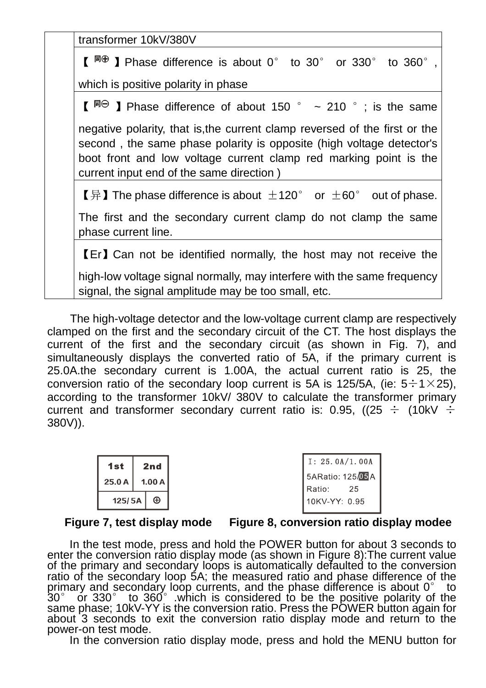transformer 10kV/380V

 $\llbracket \Box^{\boxplus \oplus} \rrbracket$  Phase difference is about 0° to 30° or 330° to 360°,

which is positive polarity in phase

 $\left[\begin{array}{ccc} \Box \Box \Box \end{array}\right]$  Phase difference of about 150 °  $\sim$  210 °; is the same

negative polarity, that is,the current clamp reversed of the first or the second , the same phase polarity is opposite (high voltage detector's boot front and low voltage current clamp red marking point is the current input end of the same direction )

【异】The phase difference is about  $\pm$ 120° or  $\pm$ 60° out of phase.

The first and the secondary current clamp do not clamp the same phase current line.

【Er】Can not be identified normally, the host may not receive the

high-low voltage signal normally, may interfere with the same frequency signal, the signal amplitude may be too small, etc.

The high-voltage detector and the low-voltage current clamp are respectively clamped on the first and the secondary circuit of the CT. The host displays the current of the first and the secondary circuit (as shown in Fig. 7), and simultaneously displays the converted ratio of 5A, if the primary current is 25.0A.the secondary current is 1.00A, the actual current ratio is 25, the conversion ratio of the secondary loop current is 5A is 125/5A, (ie:  $5 \div 1 \times 25$ ), according to the transformer 10kV/ 380V to calculate the transformer primary current and transformer secondary current ratio is: 0.95, ((25  $\div$  (10kV  $\div$ 380V)).

| 1st    | 2nd   |
|--------|-------|
| 25.0A  | 1.00A |
| 125/5A |       |

#### **Figure 7, test display mode Figure 8, conversion ratio display modee**

In the test mode, press and hold the POWER button for about 3 seconds to enter the conversion ratio display mode (as shown in Figure 8):The current value of the primary and secondary loops is automatically defaulted to the conversion ratio of the secondary loop 5A; the measured ratio and phase difference of the primary and secondary loop currents, and the phase difference is about  $0^{\circ}$  to 30° or 330° to 360°. which is considered to be the positive polarity of the same phase; 10kV-YY is the conversion ratio. Press the POWER button again for about 3 seconds to exit the conversion ratio display mode and return to the power-on test mode.

In the conversion ratio display mode, press and hold the MENU button for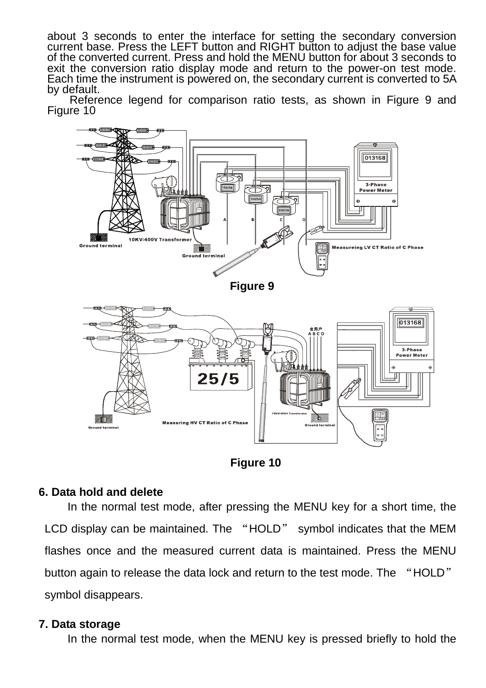about 3 seconds to enter the interface for setting the secondary conversion current base. Press the LEFT button and RIGHT button to adjust the base value of the converted current. Press and hold the MENU button for about 3 seconds to exit the conversion ratio display mode and return to the power-on test mode. Each time the instrument is powered on, the secondary current is converted to 5A by default.

Reference legend for comparison ratio tests, as shown in Figure 9 and Figure 10





#### **6. Data hold and delete**

In the normal test mode, after pressing the MENU key for a short time, the LCD display can be maintained. The "HOLD" symbol indicates that the MEM flashes once and the measured current data is maintained. Press the MENU button again to release the data lock and return to the test mode. The "HOLD" symbol disappears.

#### **7. Data storage**

In the normal test mode, when the MENU key is pressed briefly to hold the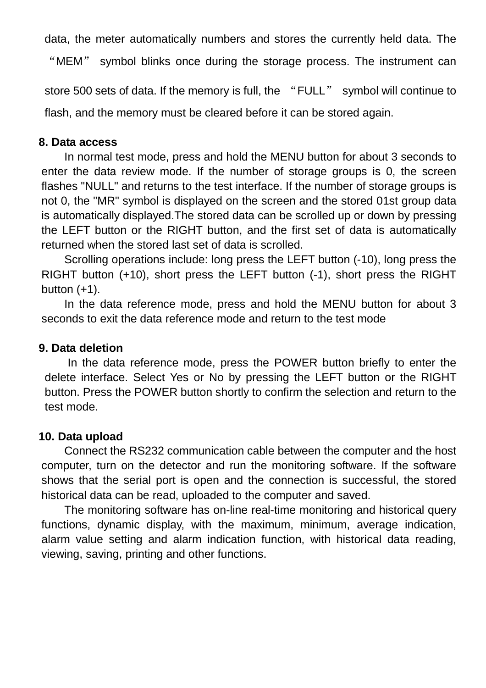data, the meter automatically numbers and stores the currently held data. The

"MEM" symbol blinks once during the storage process. The instrument can

store 500 sets of data. If the memory is full, the "FULL" symbol will continue to flash, and the memory must be cleared before it can be stored again.

#### **8. Data access**

In normal test mode, press and hold the MENU button for about 3 seconds to enter the data review mode. If the number of storage groups is 0, the screen flashes "NULL" and returns to the test interface. If the number of storage groups is not 0, the "MR" symbol is displayed on the screen and the stored 01st group data is automatically displayed.The stored data can be scrolled up or down by pressing the LEFT button or the RIGHT button, and the first set of data is automatically returned when the stored last set of data is scrolled.

Scrolling operations include: long press the LEFT button (-10), long press the RIGHT button (+10), short press the LEFT button (-1), short press the RIGHT button  $(+1)$ .

In the data reference mode, press and hold the MENU button for about 3 seconds to exit the data reference mode and return to the test mode

#### **9. Data deletion**

In the data reference mode, press the POWER button briefly to enter the delete interface. Select Yes or No by pressing the LEFT button or the RIGHT button. Press the POWER button shortly to confirm the selection and return to the test mode.

#### **10. Data upload**

Connect the RS232 communication cable between the computer and the host computer, turn on the detector and run the monitoring software. If the software shows that the serial port is open and the connection is successful, the stored historical data can be read, uploaded to the computer and saved.

The monitoring software has on-line real-time monitoring and historical query functions, dynamic display, with the maximum, minimum, average indication, alarm value setting and alarm indication function, with historical data reading, viewing, saving, printing and other functions.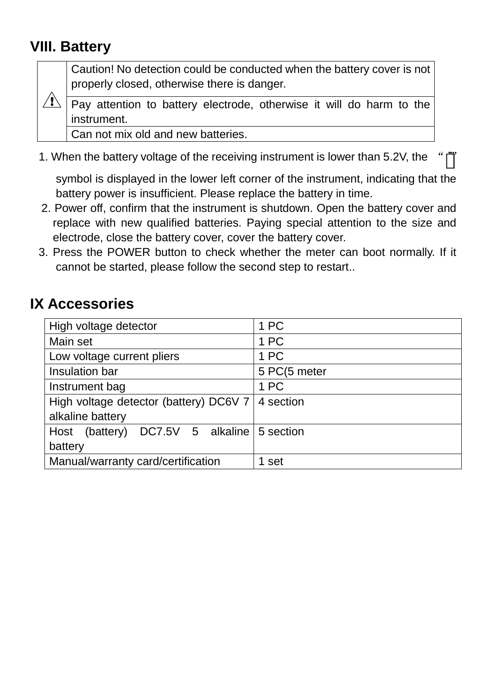## **VIII. Battery**

Caution! No detection could be conducted when the battery cover is not properly closed, otherwise there is danger.

Pay attention to battery electrode, otherwise it will do harm to the instrument.

Can not mix old and new batteries.

1. When the battery voltage of the receiving instrument is lower than 5.2V, the

symbol is displayed in the lower left corner of the instrument, indicating that the battery power is insufficient. Please replace the battery in time.

- 2. Power off, confirm that the instrument is shutdown. Open the battery cover and replace with new qualified batteries. Paying special attention to the size and electrode, close the battery cover, cover the battery cover.
- 3. Press the POWER button to check whether the meter can boot normally. If it cannot be started, please follow the second step to restart..

## **IX Accessories**

| High voltage detector                      | 1 PC         |
|--------------------------------------------|--------------|
| Main set                                   | 1 PC         |
| Low voltage current pliers                 | 1 PC         |
| Insulation bar                             | 5 PC(5 meter |
| Instrument bag                             | 1 PC         |
| High voltage detector (battery) DC6V 7     | 4 section    |
| alkaline battery                           |              |
| Host (battery) DC7.5V 5 alkaline 5 section |              |
| battery                                    |              |
| Manual/warranty card/certification         | 1 set        |